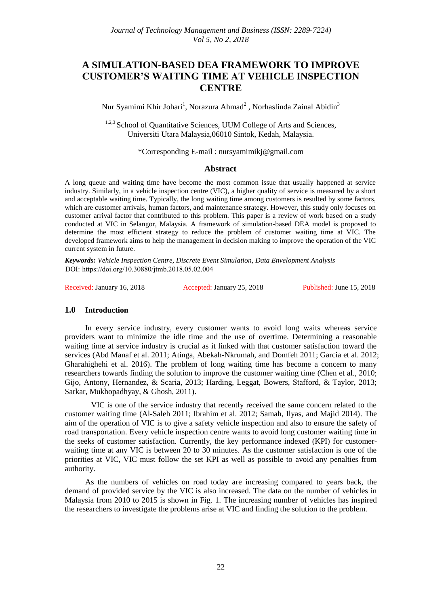# **A SIMULATION-BASED DEA FRAMEWORK TO IMPROVE CUSTOMER'S WAITING TIME AT VEHICLE INSPECTION CENTRE**

Nur Syamimi Khir Johari<sup>1</sup>, Norazura Ahmad<sup>2</sup>, Norhaslinda Zainal Abidin<sup>3</sup>

<sup>1,2,3</sup> School of Quantitative Sciences, UUM College of Arts and Sciences, Universiti Utara Malaysia,06010 Sintok, Kedah, Malaysia.

\*Corresponding E-mail : nursyamimikj@gmail.com

#### **Abstract**

A long queue and waiting time have become the most common issue that usually happened at service industry. Similarly, in a vehicle inspection centre (VIC), a higher quality of service is measured by a short and acceptable waiting time. Typically, the long waiting time among customers is resulted by some factors, which are customer arrivals, human factors, and maintenance strategy. However, this study only focuses on customer arrival factor that contributed to this problem. This paper is a review of work based on a study conducted at VIC in Selangor, Malaysia. A framework of simulation-based DEA model is proposed to determine the most efficient strategy to reduce the problem of customer waiting time at VIC. The developed framework aims to help the management in decision making to improve the operation of the VIC current system in future.

*Keywords: Vehicle Inspection Centre, Discrete Event Simulation, Data Envelopment Analysis*  DOI: https://doi.org/10.30880/jtmb.2018.05.02.004

Received: January 16, 2018 Accepted: January 25, 2018 Published: June 15, 2018

# **1.0 Introduction**

In every service industry, every customer wants to avoid long waits whereas service providers want to minimize the idle time and the use of overtime. Determining a reasonable waiting time at service industry is crucial as it linked with that customer satisfaction toward the services (Abd Manaf et al. 2011; Atinga, Abekah-Nkrumah, and Domfeh 2011; Garcia et al. 2012; Gharahighehi et al. 2016). The problem of long waiting time has become a concern to many researchers towards finding the solution to improve the customer waiting time (Chen et al., 2010; Gijo, Antony, Hernandez, & Scaria, 2013; Harding, Leggat, Bowers, Stafford, & Taylor, 2013; Sarkar, Mukhopadhyay, & Ghosh, 2011).

 VIC is one of the service industry that recently received the same concern related to the customer waiting time (Al-Saleh 2011; Ibrahim et al. 2012; Samah, Ilyas, and Majid 2014). The aim of the operation of VIC is to give a safety vehicle inspection and also to ensure the safety of road transportation. Every vehicle inspection centre wants to avoid long customer waiting time in the seeks of customer satisfaction. Currently, the key performance indexed (KPI) for customerwaiting time at any VIC is between 20 to 30 minutes. As the customer satisfaction is one of the priorities at VIC, VIC must follow the set KPI as well as possible to avoid any penalties from authority.

As the numbers of vehicles on road today are increasing compared to years back, the demand of provided service by the VIC is also increased. The data on the number of vehicles in Malaysia from 2010 to 2015 is shown in Fig. 1. The increasing number of vehicles has inspired the researchers to investigate the problems arise at VIC and finding the solution to the problem.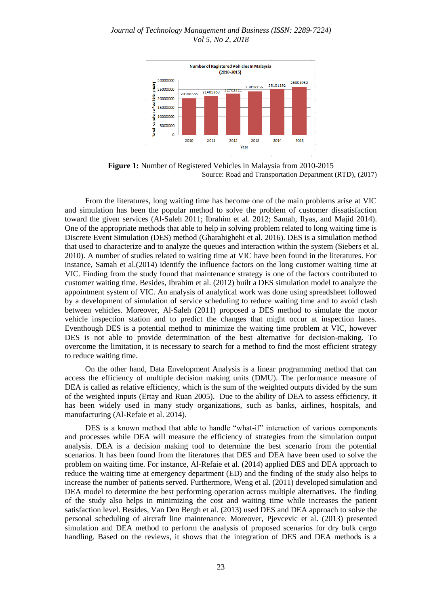#### *Journal of Technology Management and Business (ISSN: 2289-7224) Vol 5, No 2, 2018*



**Figure 1:** Number of Registered Vehicles in Malaysia from 2010-2015 Source: Road and Transportation Department (RTD), (2017)

From the literatures, long waiting time has become one of the main problems arise at VIC and simulation has been the popular method to solve the problem of customer dissatisfaction toward the given services (Al-Saleh 2011; Ibrahim et al. 2012; Samah, Ilyas, and Majid 2014). One of the appropriate methods that able to help in solving problem related to long waiting time is Discrete Event Simulation (DES) method (Gharahighehi et al. 2016). DES is a simulation method that used to characterize and to analyze the queues and interaction within the system (Siebers et al. 2010). A number of studies related to waiting time at VIC have been found in the literatures. For instance, Samah et al.(2014) identify the influence factors on the long customer waiting time at VIC. Finding from the study found that maintenance strategy is one of the factors contributed to customer waiting time. Besides, Ibrahim et al. (2012) built a DES simulation model to analyze the appointment system of VIC. An analysis of analytical work was done using spreadsheet followed by a development of simulation of service scheduling to reduce waiting time and to avoid clash between vehicles. Moreover, Al-Saleh (2011) proposed a DES method to simulate the motor vehicle inspection station and to predict the changes that might occur at inspection lanes. Eventhough DES is a potential method to minimize the waiting time problem at VIC, however DES is not able to provide determination of the best alternative for decision-making. To overcome the limitation, it is necessary to search for a method to find the most efficient strategy to reduce waiting time.

On the other hand, Data Envelopment Analysis is a linear programming method that can access the efficiency of multiple decision making units (DMU). The performance measure of DEA is called as relative efficiency, which is the sum of the weighted outputs divided by the sum of the weighted inputs (Ertay and Ruan 2005). Due to the ability of DEA to assess efficiency, it has been widely used in many study organizations, such as banks, airlines, hospitals, and manufacturing (Al-Refaie et al. 2014).

DES is a known method that able to handle "what-if" interaction of various components and processes while DEA will measure the efficiency of strategies from the simulation output analysis. DEA is a decision making tool to determine the best scenario from the potential scenarios. It has been found from the literatures that DES and DEA have been used to solve the problem on waiting time. For instance, Al-Refaie et al. (2014) applied DES and DEA approach to reduce the waiting time at emergency department (ED) and the finding of the study also helps to increase the number of patients served. Furthermore, Weng et al. (2011) developed simulation and DEA model to determine the best performing operation across multiple alternatives. The finding of the study also helps in minimizing the cost and waiting time while increases the patient satisfaction level. Besides, Van Den Bergh et al. (2013) used DES and DEA approach to solve the personal scheduling of aircraft line maintenance. Moreover, Pjevcevic et al. (2013) presented simulation and DEA method to perform the analysis of proposed scenarios for dry bulk cargo handling. Based on the reviews, it shows that the integration of DES and DEA methods is a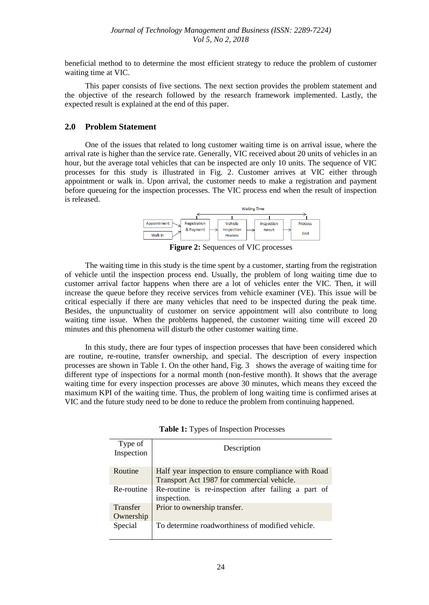beneficial method to to determine the most efficient strategy to reduce the problem of customer waiting time at VIC.

This paper consists of five sections. The next section provides the problem statement and the objective of the research followed by the research framework implemented. Lastly, the expected result is explained at the end of this paper.

### **2.0 Problem Statement**

One of the issues that related to long customer waiting time is on arrival issue, where the arrival rate is higher than the service rate. Generally, VIC received about 20 units of vehicles in an hour, but the average total vehicles that can be inspected are only 10 units. The sequence of VIC processes for this study is illustrated in Fig. 2. Customer arrives at VIC either through appointment or walk in. Upon arrival, the customer needs to make a registration and payment before queueing for the inspection processes. The VIC process end when the result of inspection is released.



**Figure 2:** Sequences of VIC processes

The waiting time in this study is the time spent by a customer, starting from the registration of vehicle until the inspection process end. Usually, the problem of long waiting time due to customer arrival factor happens when there are a lot of vehicles enter the VIC. Then, it will increase the queue before they receive services from vehicle examiner (VE). This issue will be critical especially if there are many vehicles that need to be inspected during the peak time. Besides, the unpunctuality of customer on service appointment will also contribute to long waiting time issue. When the problems happened, the customer waiting time will exceed 20 minutes and this phenomena will disturb the other customer waiting time.

In this study, there are four types of inspection processes that have been considered which are routine, re-routine, transfer ownership, and special. The description of every inspection processes are shown in Table 1. On the other hand, Fig. 3 shows the average of waiting time for different type of inspections for a normal month (non-festive month). It shows that the average waiting time for every inspection processes are above 30 minutes, which means they exceed the maximum KPI of the waiting time. Thus, the problem of long waiting time is confirmed arises at VIC and the future study need to be done to reduce the problem from continuing happened.

| Table 1: Types of Inspection Processes |  |  |  |
|----------------------------------------|--|--|--|
|----------------------------------------|--|--|--|

| Type of<br>Inspection        | Description                                                                                       |
|------------------------------|---------------------------------------------------------------------------------------------------|
| Routine                      | Half year inspection to ensure compliance with Road<br>Transport Act 1987 for commercial vehicle. |
| Re-routine                   | Re-routine is re-inspection after failing a part of<br>inspection.                                |
| <b>Transfer</b><br>Ownership | Prior to ownership transfer.                                                                      |
| Special                      | To determine roadworthiness of modified vehicle.                                                  |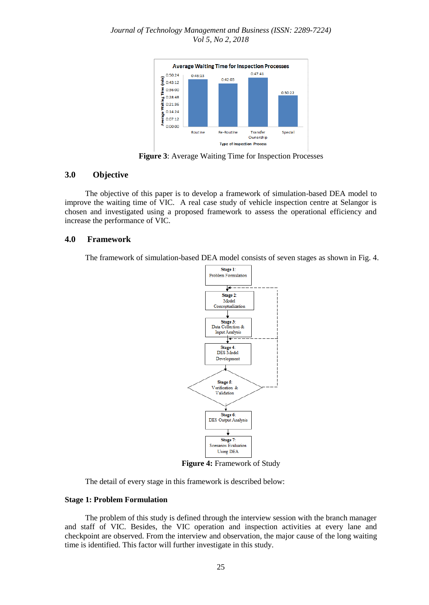

**Figure 3**: Average Waiting Time for Inspection Processes

#### **3.0 Objective**

The objective of this paper is to develop a framework of simulation-based DEA model to improve the waiting time of VIC. A real case study of vehicle inspection centre at Selangor is chosen and investigated using a proposed framework to assess the operational efficiency and increase the performance of VIC.

#### **4.0 Framework**

The framework of simulation-based DEA model consists of seven stages as shown in Fig. 4.



**Figure 4:** Framework of Study

The detail of every stage in this framework is described below:

#### **Stage 1: Problem Formulation**

The problem of this study is defined through the interview session with the branch manager and staff of VIC. Besides, the VIC operation and inspection activities at every lane and checkpoint are observed. From the interview and observation, the major cause of the long waiting time is identified. This factor will further investigate in this study.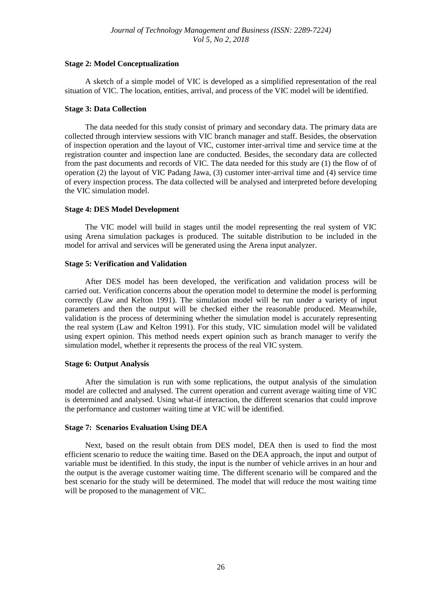#### **Stage 2: Model Conceptualization**

A sketch of a simple model of VIC is developed as a simplified representation of the real situation of VIC. The location, entities, arrival, and process of the VIC model will be identified.

#### **Stage 3: Data Collection**

The data needed for this study consist of primary and secondary data. The primary data are collected through interview sessions with VIC branch manager and staff. Besides, the observation of inspection operation and the layout of VIC, customer inter-arrival time and service time at the registration counter and inspection lane are conducted. Besides, the secondary data are collected from the past documents and records of VIC. The data needed for this study are (1) the flow of of operation (2) the layout of VIC Padang Jawa, (3) customer inter-arrival time and (4) service time of every inspection process. The data collected will be analysed and interpreted before developing the VIC simulation model.

### **Stage 4: DES Model Development**

The VIC model will build in stages until the model representing the real system of VIC using Arena simulation packages is produced. The suitable distribution to be included in the model for arrival and services will be generated using the Arena input analyzer.

### **Stage 5: Verification and Validation**

After DES model has been developed, the verification and validation process will be carried out. Verification concerns about the operation model to determine the model is performing correctly (Law and Kelton 1991). The simulation model will be run under a variety of input parameters and then the output will be checked either the reasonable produced. Meanwhile, validation is the process of determining whether the simulation model is accurately representing the real system (Law and Kelton 1991). For this study, VIC simulation model will be validated using expert opinion. This method needs expert opinion such as branch manager to verify the simulation model, whether it represents the process of the real VIC system.

# **Stage 6: Output Analysis**

After the simulation is run with some replications, the output analysis of the simulation model are collected and analysed. The current operation and current average waiting time of VIC is determined and analysed. Using what-if interaction, the different scenarios that could improve the performance and customer waiting time at VIC will be identified.

#### **Stage 7: Scenarios Evaluation Using DEA**

Next, based on the result obtain from DES model, DEA then is used to find the most efficient scenario to reduce the waiting time. Based on the DEA approach, the input and output of variable must be identified. In this study, the input is the number of vehicle arrives in an hour and the output is the average customer waiting time. The different scenario will be compared and the best scenario for the study will be determined. The model that will reduce the most waiting time will be proposed to the management of VIC.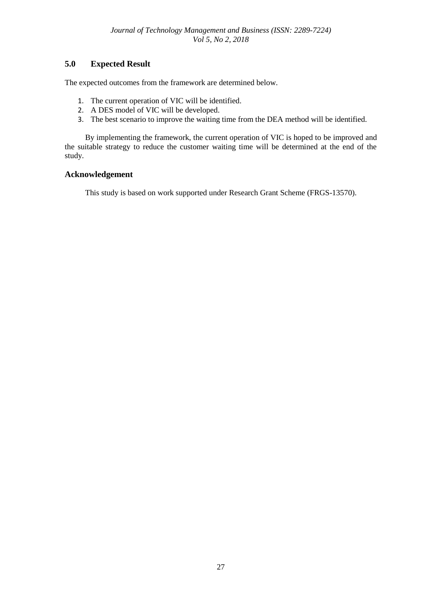# **5.0 Expected Result**

The expected outcomes from the framework are determined below.

- 1. The current operation of VIC will be identified.
- 2. A DES model of VIC will be developed.
- 3. The best scenario to improve the waiting time from the DEA method will be identified.

By implementing the framework, the current operation of VIC is hoped to be improved and the suitable strategy to reduce the customer waiting time will be determined at the end of the study.

# **Acknowledgement**

This study is based on work supported under Research Grant Scheme (FRGS-13570).